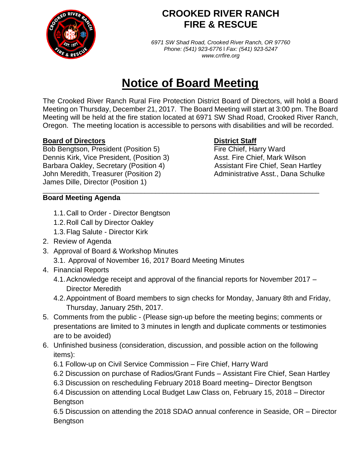

## **CROOKED RIVER RANCH FIRE & RESCUE**

*6971 SW Shad Road, Crooked River Ranch, OR 97760 Phone: (541) 923-6776* l *Fax: (541) 923-5247 www.crrfire.org*

# **Notice of Board Meeting**

The Crooked River Ranch Rural Fire Protection District Board of Directors, will hold a Board Meeting on Thursday, December 21, 2017. The Board Meeting will start at 3:00 pm. The Board Meeting will be held at the fire station located at 6971 SW Shad Road, Crooked River Ranch, Oregon. The meeting location is accessible to persons with disabilities and will be recorded.

### **Board of Directors District Staff**

Bob Bengtson, President (Position 5) Fire Chief, Harry Ward Dennis Kirk, Vice President, (Position 3) Asst. Fire Chief, Mark Wilson Barbara Oakley, Secretary (Position 4) Assistant Fire Chief, Sean Hartley John Meredith, Treasurer (Position 2) Administrative Asst., Dana Schulke James Dille, Director (Position 1)

### **Board Meeting Agenda**

- 1.1.Call to Order Director Bengtson
- 1.2.Roll Call by Director Oakley
- 1.3.Flag Salute Director Kirk
- 2. Review of Agenda
- 3. Approval of Board & Workshop Minutes 3.1. Approval of November 16, 2017 Board Meeting Minutes
- 4. Financial Reports
	- 4.1.Acknowledge receipt and approval of the financial reports for November 2017 Director Meredith

\_\_\_\_\_\_\_\_\_\_\_\_\_\_\_\_\_\_\_\_\_\_\_\_\_\_\_\_\_\_\_\_\_\_\_\_\_\_\_\_\_\_\_\_\_\_\_\_\_\_\_\_\_\_\_\_\_\_\_\_\_\_\_\_\_\_\_\_\_\_\_\_\_\_\_\_

- 4.2.Appointment of Board members to sign checks for Monday, January 8th and Friday, Thursday, January 25th, 2017.
- 5. Comments from the public (Please sign-up before the meeting begins; comments or presentations are limited to 3 minutes in length and duplicate comments or testimonies are to be avoided)
- 6. Unfinished business (consideration, discussion, and possible action on the following items):
	- 6.1 Follow-up on Civil Service Commission Fire Chief, Harry Ward
	- 6.2 Discussion on purchase of Radios/Grant Funds Assistant Fire Chief, Sean Hartley
	- 6.3 Discussion on rescheduling February 2018 Board meeting– Director Bengtson

6.4 Discussion on attending Local Budget Law Class on, February 15, 2018 – Director Bengtson

6.5 Discussion on attending the 2018 SDAO annual conference in Seaside, OR – Director **Bengtson**